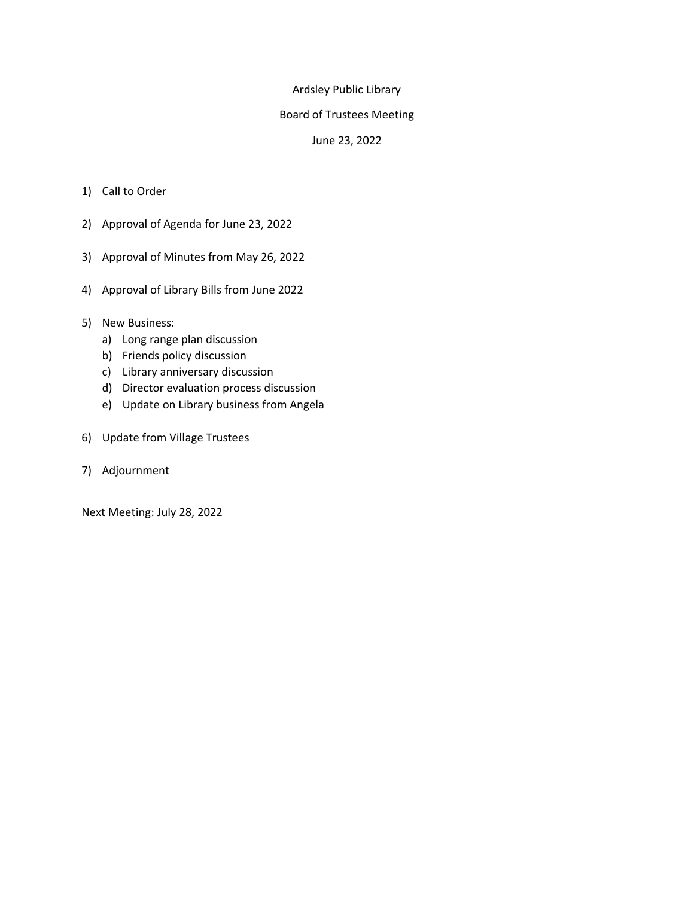# Ardsley Public Library

## Board of Trustees Meeting

## June 23, 2022

- 1) Call to Order
- 2) Approval of Agenda for June 23, 2022
- 3) Approval of Minutes from May 26, 2022
- 4) Approval of Library Bills from June 2022
- 5) New Business:
	- a) Long range plan discussion
	- b) Friends policy discussion
	- c) Library anniversary discussion
	- d) Director evaluation process discussion
	- e) Update on Library business from Angela
- 6) Update from Village Trustees
- 7) Adjournment

Next Meeting: July 28, 2022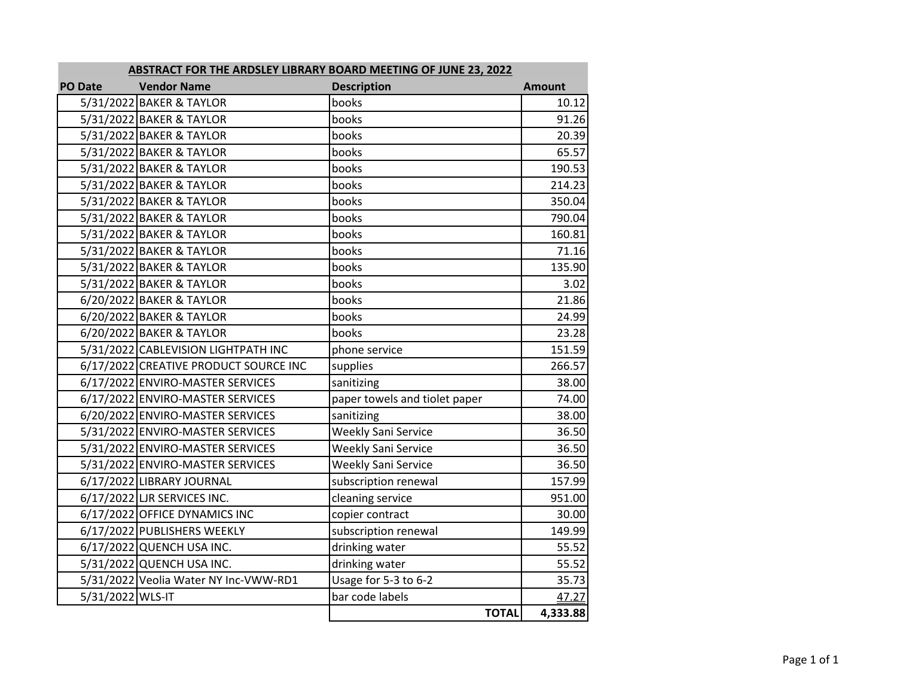| <b>PO Date</b>   | <b>Vendor Name</b>                    | <b>Description</b>            | <b>Amount</b> |
|------------------|---------------------------------------|-------------------------------|---------------|
|                  | 5/31/2022 BAKER & TAYLOR              | books                         | 10.12         |
|                  | 5/31/2022 BAKER & TAYLOR              | books                         | 91.26         |
|                  | 5/31/2022 BAKER & TAYLOR              | books                         | 20.39         |
|                  | 5/31/2022 BAKER & TAYLOR              | books                         | 65.57         |
|                  | 5/31/2022 BAKER & TAYLOR              | books                         | 190.53        |
|                  | 5/31/2022 BAKER & TAYLOR              | books                         | 214.23        |
|                  | 5/31/2022 BAKER & TAYLOR              | books                         | 350.04        |
|                  | 5/31/2022 BAKER & TAYLOR              | books                         | 790.04        |
|                  | 5/31/2022 BAKER & TAYLOR              | books                         | 160.81        |
|                  | 5/31/2022 BAKER & TAYLOR              | books                         | 71.16         |
|                  | 5/31/2022 BAKER & TAYLOR              | books                         | 135.90        |
|                  | 5/31/2022 BAKER & TAYLOR              | books                         | 3.02          |
|                  | 6/20/2022 BAKER & TAYLOR              | books                         | 21.86         |
|                  | 6/20/2022 BAKER & TAYLOR              | books                         | 24.99         |
|                  | 6/20/2022 BAKER & TAYLOR              | books                         | 23.28         |
|                  | 5/31/2022 CABLEVISION LIGHTPATH INC   | phone service                 | 151.59        |
|                  | 6/17/2022 CREATIVE PRODUCT SOURCE INC | supplies                      | 266.57        |
|                  | 6/17/2022 ENVIRO-MASTER SERVICES      | sanitizing                    | 38.00         |
|                  | 6/17/2022 ENVIRO-MASTER SERVICES      | paper towels and tiolet paper | 74.00         |
|                  | 6/20/2022 ENVIRO-MASTER SERVICES      | sanitizing                    | 38.00         |
|                  | 5/31/2022 ENVIRO-MASTER SERVICES      | <b>Weekly Sani Service</b>    | 36.50         |
|                  | 5/31/2022 ENVIRO-MASTER SERVICES      | Weekly Sani Service           | 36.50         |
|                  | 5/31/2022 ENVIRO-MASTER SERVICES      | Weekly Sani Service           | 36.50         |
|                  | 6/17/2022 LIBRARY JOURNAL             | subscription renewal          | 157.99        |
|                  | 6/17/2022 LJR SERVICES INC.           | cleaning service              | 951.00        |
|                  | 6/17/2022 OFFICE DYNAMICS INC         | copier contract               | 30.00         |
|                  | 6/17/2022 PUBLISHERS WEEKLY           | subscription renewal          | 149.99        |
|                  | 6/17/2022 QUENCH USA INC.             | drinking water                | 55.52         |
|                  | 5/31/2022 QUENCH USA INC.             | drinking water                | 55.52         |
|                  | 5/31/2022 Veolia Water NY Inc-VWW-RD1 | Usage for 5-3 to 6-2          | 35.73         |
| 5/31/2022 WLS-IT |                                       | bar code labels               | 47.27         |
|                  |                                       | <b>TOTAL</b>                  | 4,333.88      |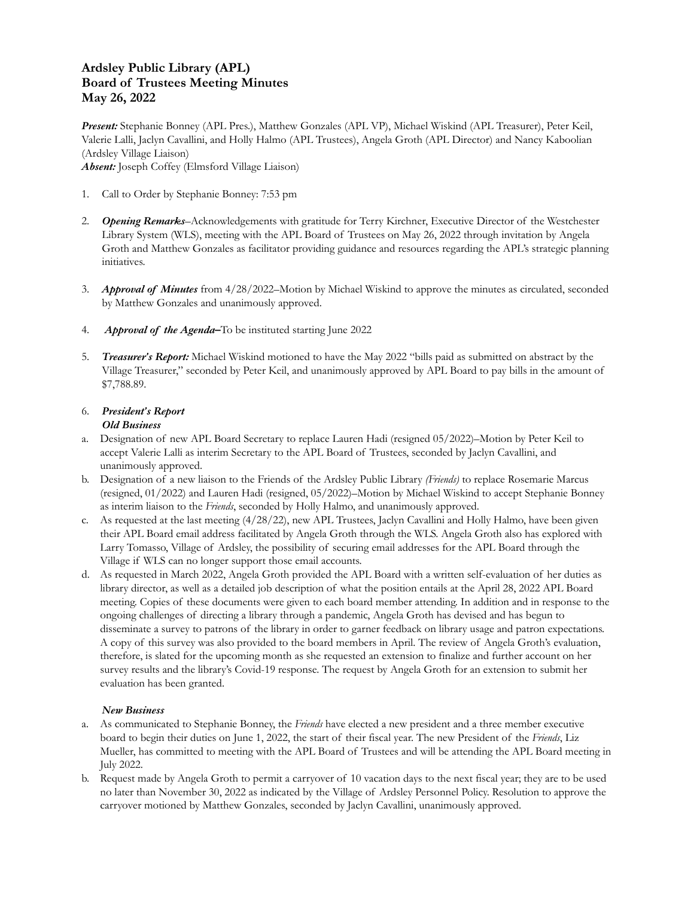# **Ardsley Public Library (APL) Board of Trustees Meeting Minutes May 26, 2022**

*Present:* Stephanie Bonney (APL Pres.), Matthew Gonzales (APL VP), Michael Wiskind (APL Treasurer), Peter Keil, Valerie Lalli, Jaclyn Cavallini, and Holly Halmo (APL Trustees), Angela Groth (APL Director) and Nancy Kaboolian (Ardsley Village Liaison) *Absent:* Joseph Coffey (Elmsford Village Liaison)

- 1. Call to Order by Stephanie Bonney: 7:53 pm
- 2. *Opening Remarks*–Acknowledgements with gratitude for Terry Kirchner, Executive Director of the Westchester Library System (WLS), meeting with the APL Board of Trustees on May 26, 2022 through invitation by Angela Groth and Matthew Gonzales as facilitator providing guidance and resources regarding the APL's strategic planning initiatives.
- 3. *Approval of Minutes* from 4/28/2022–Motion by Michael Wiskind to approve the minutes as circulated, seconded by Matthew Gonzales and unanimously approved.
- 4. *Approval of the Agenda–*To be instituted starting June 2022
- 5. *Treasurer's Report:* Michael Wiskind motioned to have the May 2022 "bills paid as submitted on abstract by the Village Treasurer," seconded by Peter Keil, and unanimously approved by APL Board to pay bills in the amount of \$7,788.89.

#### 6. *President's Report Old Business*

- a. Designation of new APL Board Secretary to replace Lauren Hadi (resigned 05/2022)–Motion by Peter Keil to accept Valerie Lalli as interim Secretary to the APL Board of Trustees, seconded by Jaclyn Cavallini, and unanimously approved.
- b. Designation of a new liaison to the Friends of the Ardsley Public Library *(Friends)* to replace Rosemarie Marcus (resigned, 01/2022) and Lauren Hadi (resigned, 05/2022)–Motion by Michael Wiskind to accept Stephanie Bonney as interim liaison to the *Friends*, seconded by Holly Halmo, and unanimously approved.
- c. As requested at the last meeting (4/28/22), new APL Trustees, Jaclyn Cavallini and Holly Halmo, have been given their APL Board email address facilitated by Angela Groth through the WLS. Angela Groth also has explored with Larry Tomasso, Village of Ardsley, the possibility of securing email addresses for the APL Board through the Village if WLS can no longer support those email accounts.
- d. As requested in March 2022, Angela Groth provided the APL Board with a written self-evaluation of her duties as library director, as well as a detailed job description of what the position entails at the April 28, 2022 APL Board meeting. Copies of these documents were given to each board member attending. In addition and in response to the ongoing challenges of directing a library through a pandemic, Angela Groth has devised and has begun to disseminate a survey to patrons of the library in order to garner feedback on library usage and patron expectations. A copy of this survey was also provided to the board members in April. The review of Angela Groth's evaluation, therefore, is slated for the upcoming month as she requested an extension to finalize and further account on her survey results and the library's Covid-19 response. The request by Angela Groth for an extension to submit her evaluation has been granted.

### *New Business*

- a. As communicated to Stephanie Bonney, the *Friends* have elected a new president and a three member executive board to begin their duties on June 1, 2022, the start of their fiscal year. The new President of the *Friends*, Liz Mueller, has committed to meeting with the APL Board of Trustees and will be attending the APL Board meeting in July 2022.
- b. Request made by Angela Groth to permit a carryover of 10 vacation days to the next fiscal year; they are to be used no later than November 30, 2022 as indicated by the Village of Ardsley Personnel Policy. Resolution to approve the carryover motioned by Matthew Gonzales, seconded by Jaclyn Cavallini, unanimously approved.